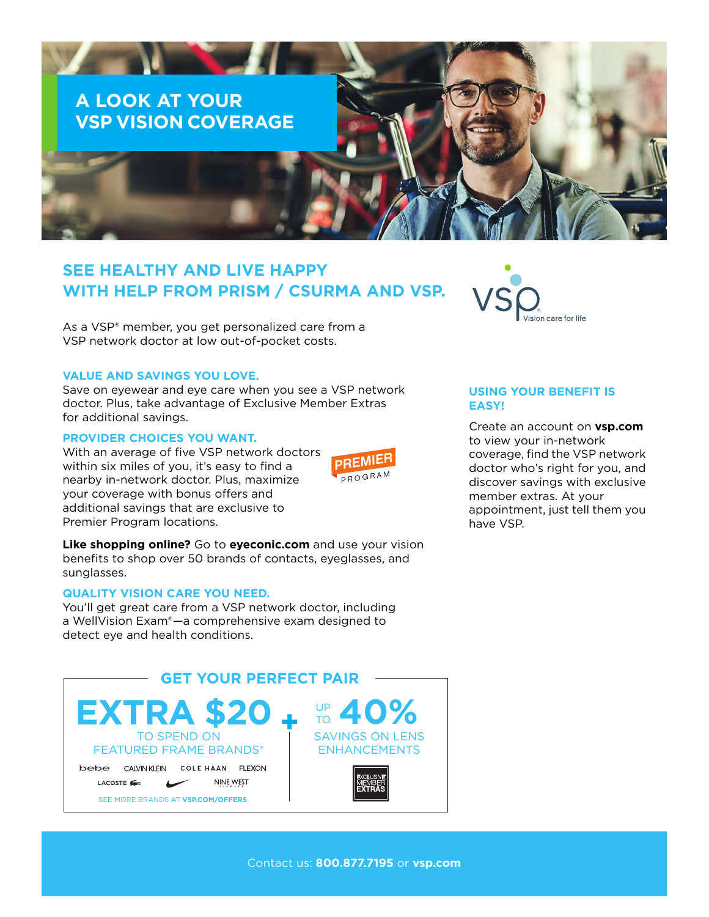

# **SEE HEALTHY AND LIVE HAPPY WITH HELP FROM PRISM / CSURMA AND VSP.**

As a VSP® member, you get personalized care from a VSP network doctor at low out-of-pocket costs.

### **VALUE AND SAVINGS YOU LOVE.**

Save on eyewear and eye care when you see a VSP network doctor. Plus, take advantage of Exclusive Member Extras for additional savings.

### **PROVIDER CHOICES YOU WANT.**

With an average of five VSP network doctors within six miles of you, it's easy to find a nearby in-network doctor. Plus, maximize your coverage with bonus offers and additional savings that are exclusive to Premier Program locations.



**Like shopping online?** Go to **eyeconic.com** and use your vision benefits to shop over 50 brands of contacts, eyeglasses, and sunglasses.

## **QUALITY VISION CARE YOU NEED.**

You'll get great care from a VSP network doctor, including a WellVision Exam®—a comprehensive exam designed to detect eye and health conditions.





## **USING YOUR BENEFIT IS EASY!**

Create an account on **vsp.com** to view your in-network coverage, find the VSP network doctor who's right for you, and discover savings with exclusive member extras. At your appointment, just tell them you have VSP.